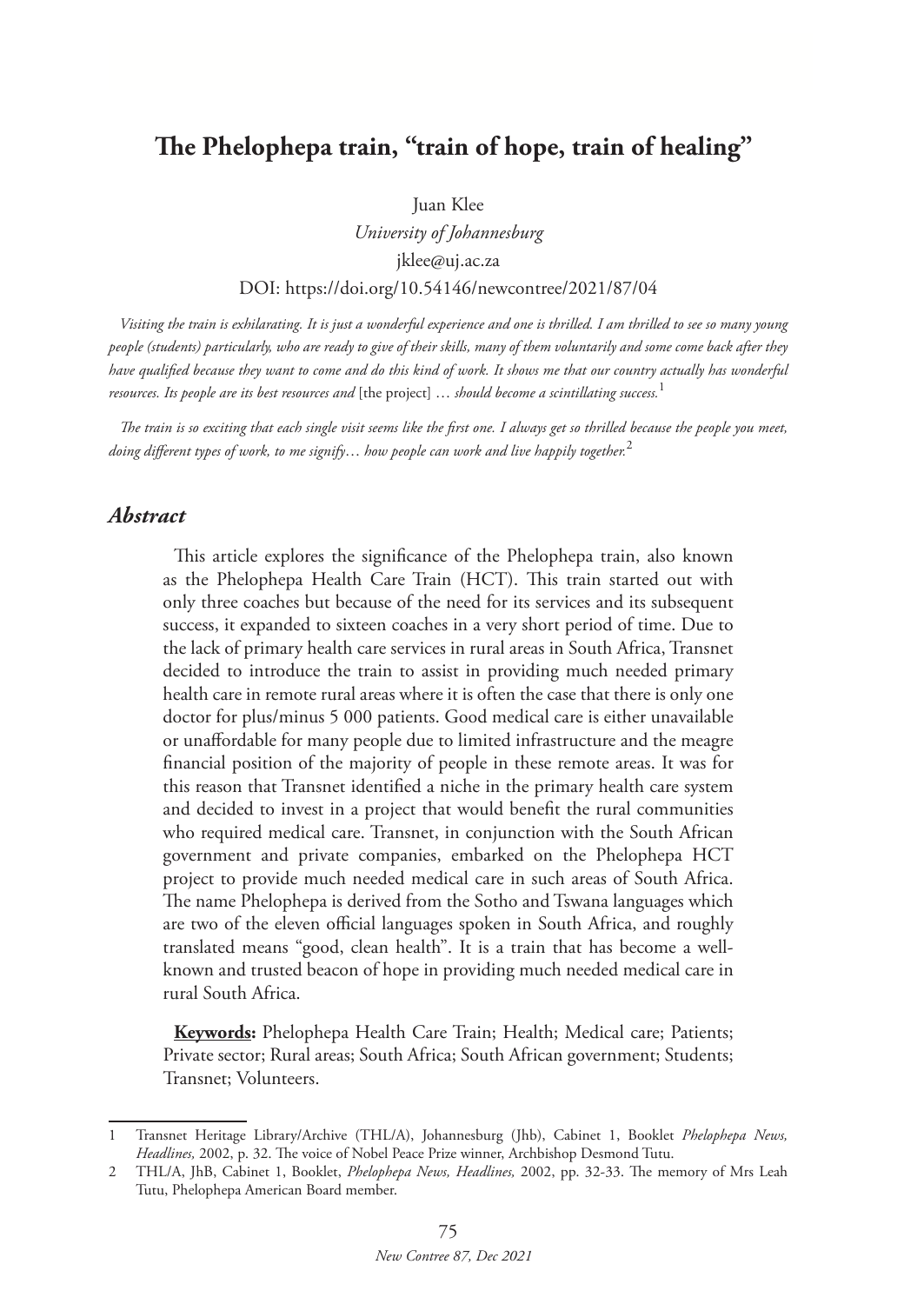# **The Phelophepa train, "train of hope, train of healing"**

Juan Klee

*University of Johannesburg* jklee@uj.ac.za DOI: https://doi.org/10.54146/newcontree/2021/87/04

*Visiting the train is exhilarating. It is just a wonderful experience and one is thrilled. I am thrilled to see so many young people (students) particularly, who are ready to give of their skills, many of them voluntarily and some come back after they have qualified because they want to come and do this kind of work. It shows me that our country actually has wonderful resources. Its people are its best resources and* [the project] … *should become a scintillating success.*<sup>1</sup>

*The train is so exciting that each single visit seems like the first one. I always get so thrilled because the people you meet, doing different types of work, to me signify*… *how people can work and live happily together.*<sup>2</sup>

### *Abstract*

This article explores the significance of the Phelophepa train, also known as the Phelophepa Health Care Train (HCT). This train started out with only three coaches but because of the need for its services and its subsequent success, it expanded to sixteen coaches in a very short period of time. Due to the lack of primary health care services in rural areas in South Africa, Transnet decided to introduce the train to assist in providing much needed primary health care in remote rural areas where it is often the case that there is only one doctor for plus/minus 5 000 patients. Good medical care is either unavailable or unaffordable for many people due to limited infrastructure and the meagre financial position of the majority of people in these remote areas. It was for this reason that Transnet identified a niche in the primary health care system and decided to invest in a project that would benefit the rural communities who required medical care. Transnet, in conjunction with the South African government and private companies, embarked on the Phelophepa HCT project to provide much needed medical care in such areas of South Africa. The name Phelophepa is derived from the Sotho and Tswana languages which are two of the eleven official languages spoken in South Africa, and roughly translated means "good, clean health". It is a train that has become a wellknown and trusted beacon of hope in providing much needed medical care in rural South Africa.

**Keywords:** Phelophepa Health Care Train; Health; Medical care; Patients; Private sector; Rural areas; South Africa; South African government; Students; Transnet; Volunteers.

<sup>1</sup> Transnet Heritage Library/Archive (THL/A), Johannesburg (Jhb), Cabinet 1, Booklet *Phelophepa News, Headlines,* 2002, p. 32. The voice of Nobel Peace Prize winner, Archbishop Desmond Tutu.

<sup>2</sup> THL/A, JhB, Cabinet 1, Booklet, *Phelophepa News, Headlines,* 2002, pp. 32-33. The memory of Mrs Leah Tutu, Phelophepa American Board member.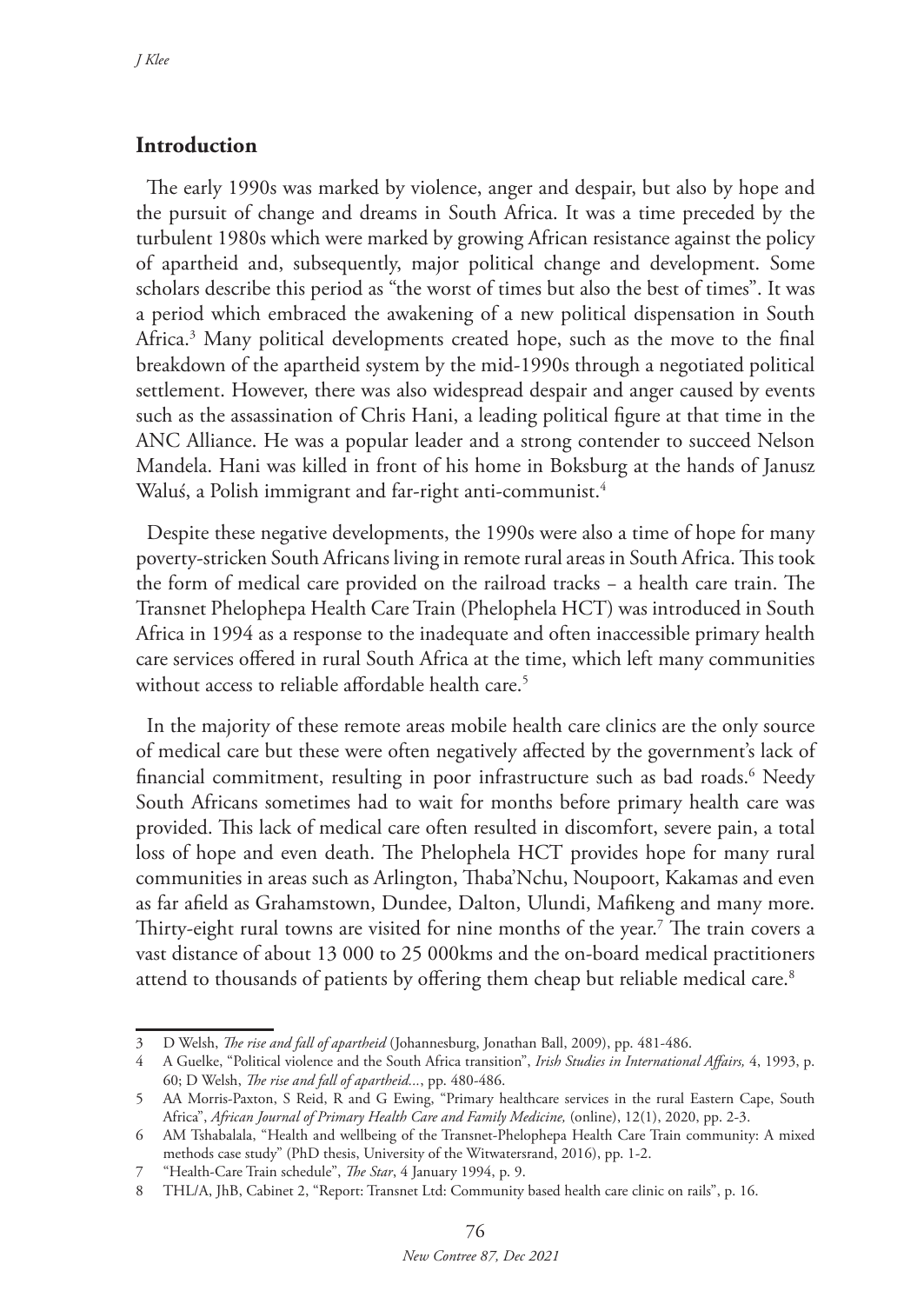## **Introduction**

The early 1990s was marked by violence, anger and despair, but also by hope and the pursuit of change and dreams in South Africa. It was a time preceded by the turbulent 1980s which were marked by growing African resistance against the policy of apartheid and, subsequently, major political change and development. Some scholars describe this period as "the worst of times but also the best of times". It was a period which embraced the awakening of a new political dispensation in South Africa.3 Many political developments created hope, such as the move to the final breakdown of the apartheid system by the mid-1990s through a negotiated political settlement. However, there was also widespread despair and anger caused by events such as the assassination of Chris Hani, a leading political figure at that time in the ANC Alliance. He was a popular leader and a strong contender to succeed Nelson Mandela. Hani was killed in front of his home in Boksburg at the hands of Janusz Waluś, a Polish immigrant and far-right anti-communist.<sup>4</sup>

Despite these negative developments, the 1990s were also a time of hope for many poverty-stricken South Africans living in remote rural areas in South Africa. This took the form of medical care provided on the railroad tracks − a health care train. The Transnet Phelophepa Health Care Train (Phelophela HCT) was introduced in South Africa in 1994 as a response to the inadequate and often inaccessible primary health care services offered in rural South Africa at the time, which left many communities without access to reliable affordable health care.<sup>5</sup>

In the majority of these remote areas mobile health care clinics are the only source of medical care but these were often negatively affected by the government's lack of financial commitment, resulting in poor infrastructure such as bad roads.6 Needy South Africans sometimes had to wait for months before primary health care was provided. This lack of medical care often resulted in discomfort, severe pain, a total loss of hope and even death. The Phelophela HCT provides hope for many rural communities in areas such as Arlington, Thaba'Nchu, Noupoort, Kakamas and even as far afield as Grahamstown, Dundee, Dalton, Ulundi, Mafikeng and many more. Thirty-eight rural towns are visited for nine months of the year. $^7$  The train covers a vast distance of about 13 000 to 25 000kms and the on-board medical practitioners attend to thousands of patients by offering them cheap but reliable medical care.<sup>8</sup>

<sup>3</sup> D Welsh, *The rise and fall of apartheid* (Johannesburg, Jonathan Ball, 2009), pp. 481-486.

<sup>4</sup> A Guelke, "Political violence and the South Africa transition", *Irish Studies in International Affairs,* 4, 1993, p. 60; D Welsh, *The rise and fall of apartheid...*, pp. 480-486.

<sup>5</sup> AA Morris-Paxton, S Reid, R and G Ewing, "Primary healthcare services in the rural Eastern Cape, South Africa", *African Journal of Primary Health Care and Family Medicine,* (online), 12(1), 2020, pp. 2-3.

<sup>6</sup> AM Tshabalala, "Health and wellbeing of the Transnet-Phelophepa Health Care Train community: A mixed methods case study" (PhD thesis, University of the Witwatersrand, 2016), pp. 1-2.

<sup>7</sup> "Health-Care Train schedule", *The Star*, 4 January 1994, p. 9.

<sup>8</sup> THL/A, JhB, Cabinet 2, "Report: Transnet Ltd: Community based health care clinic on rails", p. 16.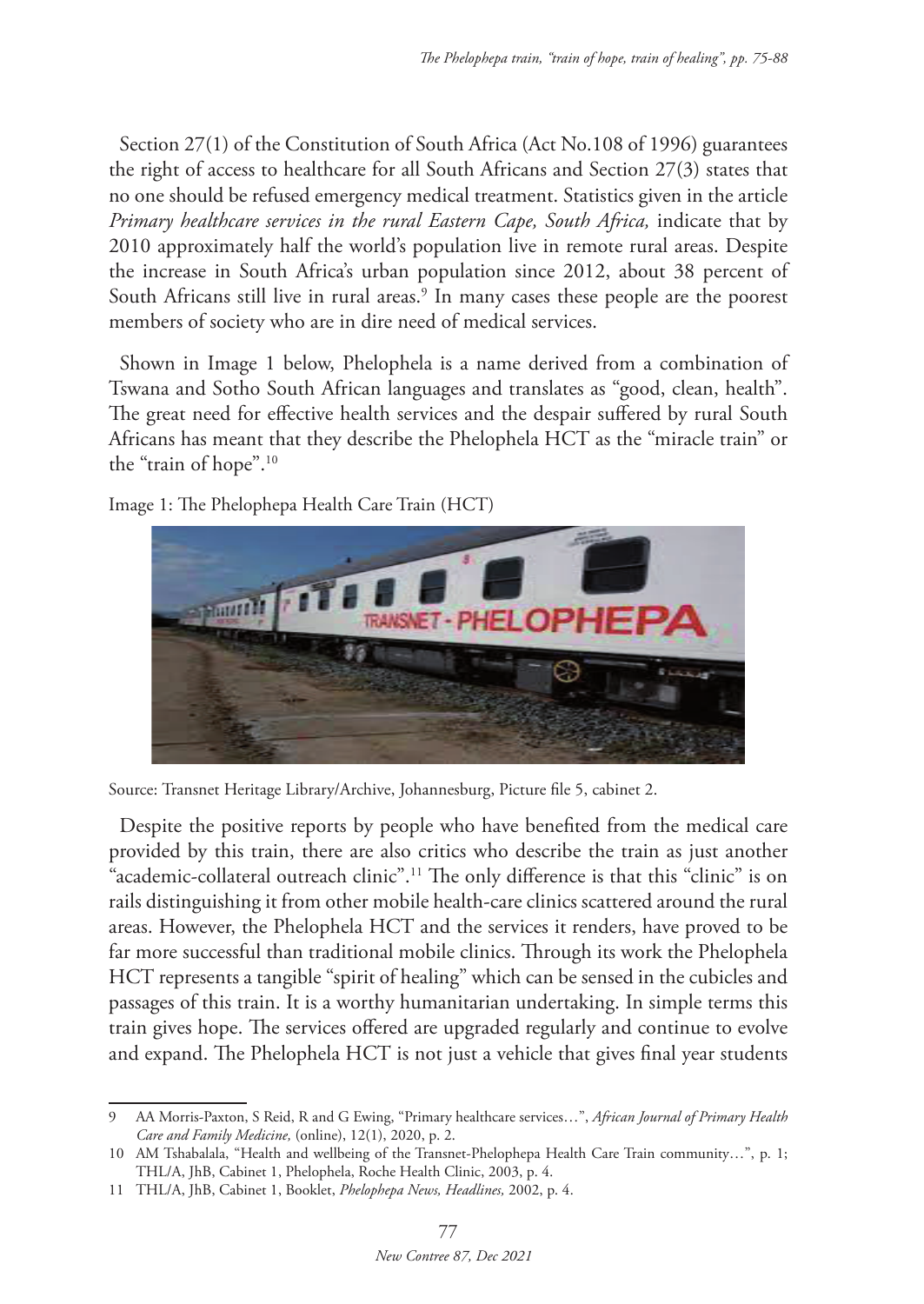Section 27(1) of the Constitution of South Africa (Act No.108 of 1996) guarantees the right of access to healthcare for all South Africans and Section 27(3) states that no one should be refused emergency medical treatment. Statistics given in the article *Primary healthcare services in the rural Eastern Cape, South Africa,* indicate that by 2010 approximately half the world's population live in remote rural areas. Despite the increase in South Africa's urban population since 2012, about 38 percent of South Africans still live in rural areas.<sup>9</sup> In many cases these people are the poorest members of society who are in dire need of medical services.

Shown in Image 1 below, Phelophela is a name derived from a combination of Tswana and Sotho South African languages and translates as "good, clean, health". The great need for effective health services and the despair suffered by rural South Africans has meant that they describe the Phelophela HCT as the "miracle train" or the "train of hope".10

Image 1: The Phelophepa Health Care Train (HCT)



Source: Transnet Heritage Library/Archive, Johannesburg, Picture file 5, cabinet 2.

Despite the positive reports by people who have benefited from the medical care provided by this train, there are also critics who describe the train as just another "academic-collateral outreach clinic".11 The only difference is that this "clinic" is on rails distinguishing it from other mobile health-care clinics scattered around the rural areas. However, the Phelophela HCT and the services it renders, have proved to be far more successful than traditional mobile clinics. Through its work the Phelophela HCT represents a tangible "spirit of healing" which can be sensed in the cubicles and passages of this train. It is a worthy humanitarian undertaking. In simple terms this train gives hope. The services offered are upgraded regularly and continue to evolve and expand. The Phelophela HCT is not just a vehicle that gives final year students

<sup>9</sup> AA Morris-Paxton, S Reid, R and G Ewing, "Primary healthcare services…", *African Journal of Primary Health Care and Family Medicine,* (online), 12(1), 2020, p. 2.

<sup>10</sup> AM Tshabalala, "Health and wellbeing of the Transnet-Phelophepa Health Care Train community…", p. 1; THL/A, JhB, Cabinet 1, Phelophela, Roche Health Clinic, 2003, p. 4.

<sup>11</sup> THL/A, JhB, Cabinet 1, Booklet, *Phelophepa News, Headlines,* 2002, p. 4.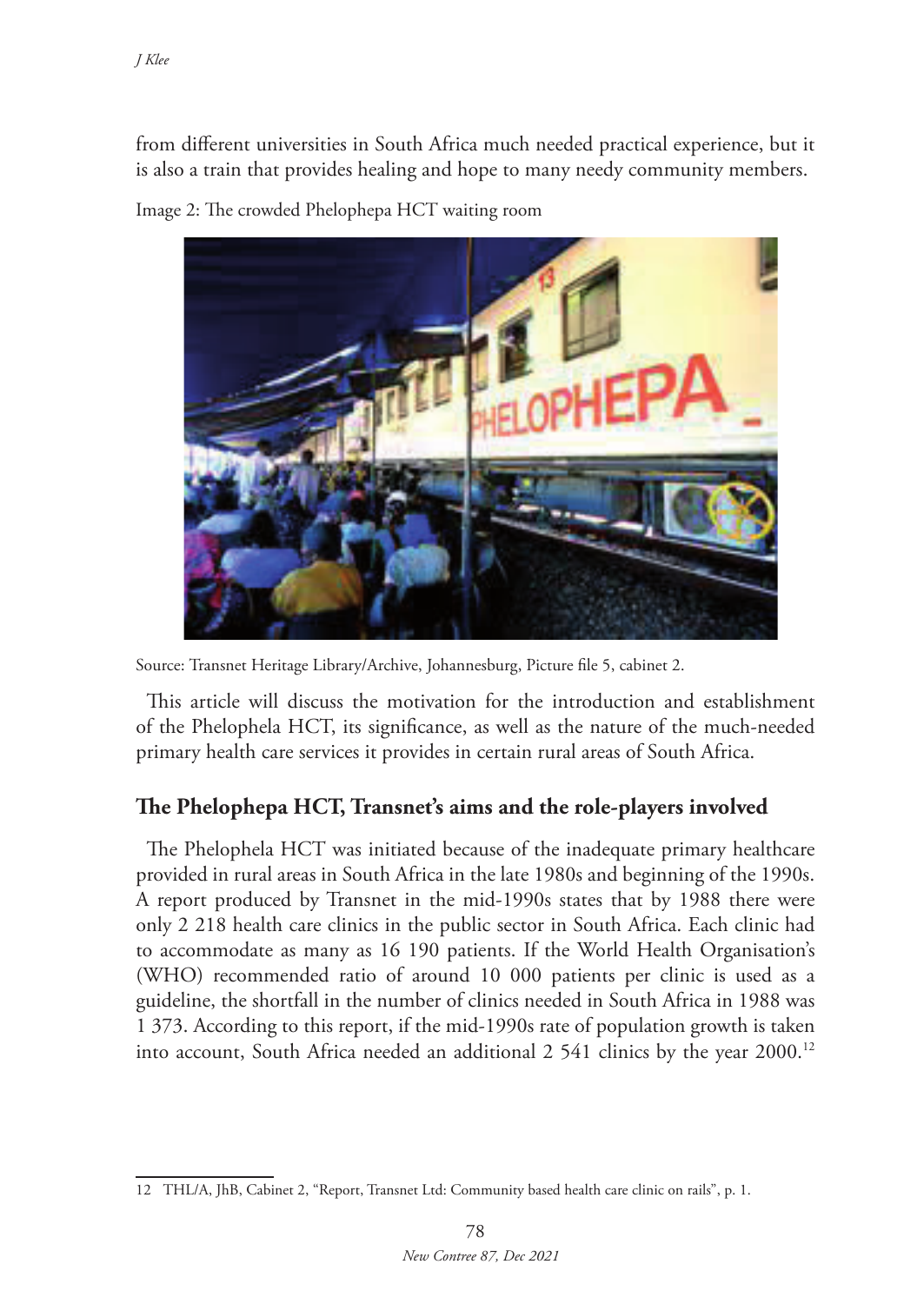from different universities in South Africa much needed practical experience, but it is also a train that provides healing and hope to many needy community members.

Image 2: The crowded Phelophepa HCT waiting room



Source: Transnet Heritage Library/Archive, Johannesburg, Picture file 5, cabinet 2.

This article will discuss the motivation for the introduction and establishment of the Phelophela HCT, its significance, as well as the nature of the much-needed primary health care services it provides in certain rural areas of South Africa.

# **The Phelophepa HCT, Transnet's aims and the role-players involved**

The Phelophela HCT was initiated because of the inadequate primary healthcare provided in rural areas in South Africa in the late 1980s and beginning of the 1990s. A report produced by Transnet in the mid-1990s states that by 1988 there were only 2 218 health care clinics in the public sector in South Africa. Each clinic had to accommodate as many as 16 190 patients. If the World Health Organisation's (WHO) recommended ratio of around 10 000 patients per clinic is used as a guideline, the shortfall in the number of clinics needed in South Africa in 1988 was 1 373. According to this report, if the mid-1990s rate of population growth is taken into account, South Africa needed an additional 2 541 clinics by the year 2000.12

<sup>12</sup> THL/A, JhB, Cabinet 2, "Report, Transnet Ltd: Community based health care clinic on rails", p. 1.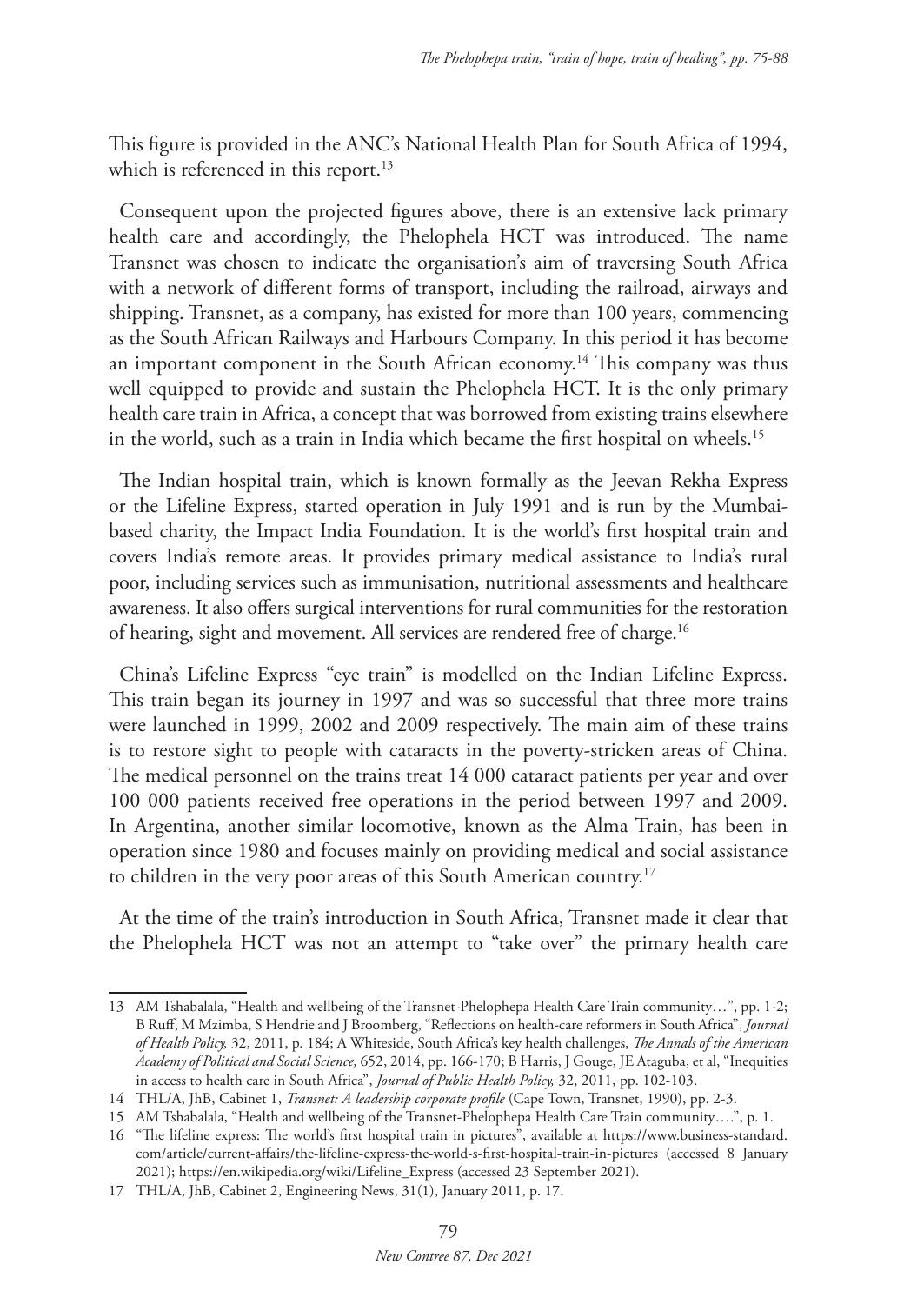This figure is provided in the ANC's National Health Plan for South Africa of 1994, which is referenced in this report.<sup>13</sup>

Consequent upon the projected figures above, there is an extensive lack primary health care and accordingly, the Phelophela HCT was introduced. The name Transnet was chosen to indicate the organisation's aim of traversing South Africa with a network of different forms of transport, including the railroad, airways and shipping. Transnet, as a company, has existed for more than 100 years, commencing as the South African Railways and Harbours Company. In this period it has become an important component in the South African economy.14 This company was thus well equipped to provide and sustain the Phelophela HCT. It is the only primary health care train in Africa, a concept that was borrowed from existing trains elsewhere in the world, such as a train in India which became the first hospital on wheels.15

The Indian hospital train, which is known formally as the Jeevan Rekha Express or the Lifeline Express, started operation in July 1991 and is run by the Mumbaibased charity, the Impact India Foundation. It is the world's first hospital train and covers India's remote areas. It provides primary medical assistance to India's rural poor, including services such as immunisation, nutritional assessments and healthcare awareness. It also offers surgical interventions for rural communities for the restoration of hearing, sight and movement. All services are rendered free of charge.16

China's Lifeline Express "eye train" is modelled on the Indian Lifeline Express. This train began its journey in 1997 and was so successful that three more trains were launched in 1999, 2002 and 2009 respectively. The main aim of these trains is to restore sight to people with cataracts in the poverty-stricken areas of China. The medical personnel on the trains treat 14 000 cataract patients per year and over 100 000 patients received free operations in the period between 1997 and 2009. In Argentina, another similar locomotive, known as the Alma Train, has been in operation since 1980 and focuses mainly on providing medical and social assistance to children in the very poor areas of this South American country.17

At the time of the train's introduction in South Africa, Transnet made it clear that the Phelophela HCT was not an attempt to "take over" the primary health care

<sup>13</sup> AM Tshabalala, "Health and wellbeing of the Transnet-Phelophepa Health Care Train community…", pp. 1-2; B Ruff, M Mzimba, S Hendrie and J Broomberg, "Reflections on health-care reformers in South Africa", *Journal of Health Policy,* 32, 2011, p. 184; A Whiteside, South Africa's key health challenges, *The Annals of the American Academy of Political and Social Science,* 652, 2014, pp. 166-170; B Harris, J Gouge, JE Ataguba, et al, "Inequities in access to health care in South Africa", *Journal of Public Health Policy,* 32, 2011, pp. 102-103.

<sup>14</sup> THL/A, JhB, Cabinet 1, *Transnet: A leadership corporate profile* (Cape Town, Transnet, 1990), pp. 2-3.

<sup>15</sup> AM Tshabalala, "Health and wellbeing of the Transnet-Phelophepa Health Care Train community….", p. 1.

<sup>16</sup> "The lifeline express: The world's first hospital train in pictures", available at https://www.business-standard. com/article/current-affairs/the-lifeline-express-the-world-s-first-hospital-train-in-pictures (accessed 8 January 2021); https://en.wikipedia.org/wiki/Lifeline\_Express (accessed 23 September 2021).

<sup>17</sup> THL/A, JhB, Cabinet 2, Engineering News, 31(1), January 2011, p. 17.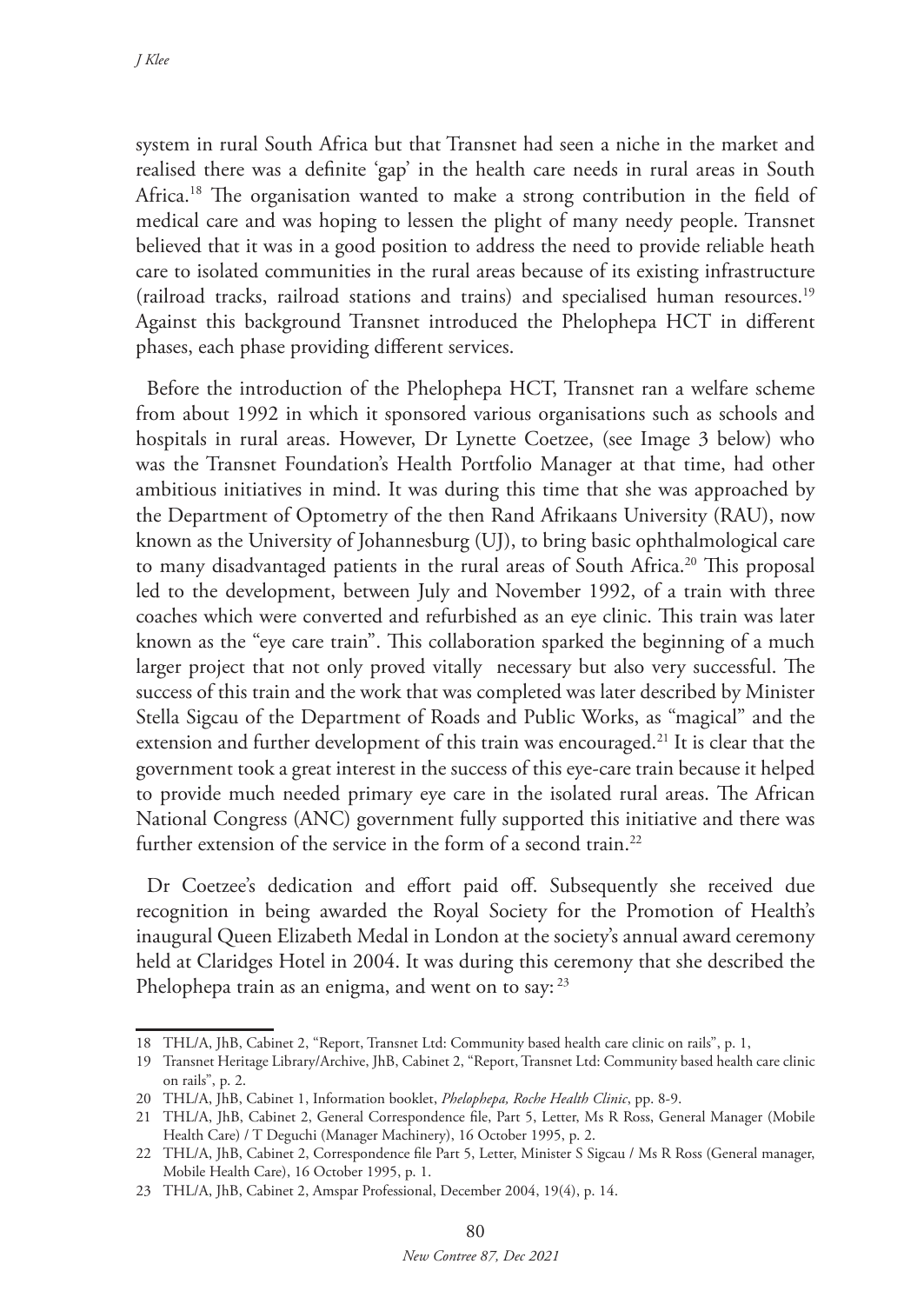system in rural South Africa but that Transnet had seen a niche in the market and realised there was a definite 'gap' in the health care needs in rural areas in South Africa.<sup>18</sup> The organisation wanted to make a strong contribution in the field of medical care and was hoping to lessen the plight of many needy people. Transnet believed that it was in a good position to address the need to provide reliable heath care to isolated communities in the rural areas because of its existing infrastructure (railroad tracks, railroad stations and trains) and specialised human resources.19 Against this background Transnet introduced the Phelophepa HCT in different phases, each phase providing different services.

Before the introduction of the Phelophepa HCT, Transnet ran a welfare scheme from about 1992 in which it sponsored various organisations such as schools and hospitals in rural areas. However, Dr Lynette Coetzee, (see Image 3 below) who was the Transnet Foundation's Health Portfolio Manager at that time, had other ambitious initiatives in mind. It was during this time that she was approached by the Department of Optometry of the then Rand Afrikaans University (RAU), now known as the University of Johannesburg (UJ), to bring basic ophthalmological care to many disadvantaged patients in the rural areas of South Africa.20 This proposal led to the development, between July and November 1992, of a train with three coaches which were converted and refurbished as an eye clinic. This train was later known as the "eye care train". This collaboration sparked the beginning of a much larger project that not only proved vitally necessary but also very successful. The success of this train and the work that was completed was later described by Minister Stella Sigcau of the Department of Roads and Public Works, as "magical" and the extension and further development of this train was encouraged.<sup>21</sup> It is clear that the government took a great interest in the success of this eye-care train because it helped to provide much needed primary eye care in the isolated rural areas. The African National Congress (ANC) government fully supported this initiative and there was further extension of the service in the form of a second train.<sup>22</sup>

Dr Coetzee's dedication and effort paid off. Subsequently she received due recognition in being awarded the Royal Society for the Promotion of Health's inaugural Queen Elizabeth Medal in London at the society's annual award ceremony held at Claridges Hotel in 2004. It was during this ceremony that she described the Phelophepa train as an enigma, and went on to say: <sup>23</sup>

<sup>18</sup> THL/A, JhB, Cabinet 2, "Report, Transnet Ltd: Community based health care clinic on rails", p. 1,

<sup>19</sup> Transnet Heritage Library/Archive, JhB, Cabinet 2, "Report, Transnet Ltd: Community based health care clinic on rails", p. 2.

<sup>20</sup> THL/A, JhB, Cabinet 1, Information booklet, *Phelophepa, Roche Health Clinic*, pp. 8-9.

<sup>21</sup> THL/A, JhB, Cabinet 2, General Correspondence file, Part 5, Letter, Ms R Ross, General Manager (Mobile Health Care) / T Deguchi (Manager Machinery), 16 October 1995, p. 2.

<sup>22</sup> THL/A, JhB, Cabinet 2, Correspondence file Part 5, Letter, Minister S Sigcau / Ms R Ross (General manager, Mobile Health Care), 16 October 1995, p. 1.

<sup>23</sup> THL/A, JhB, Cabinet 2, Amspar Professional, December 2004, 19(4), p. 14.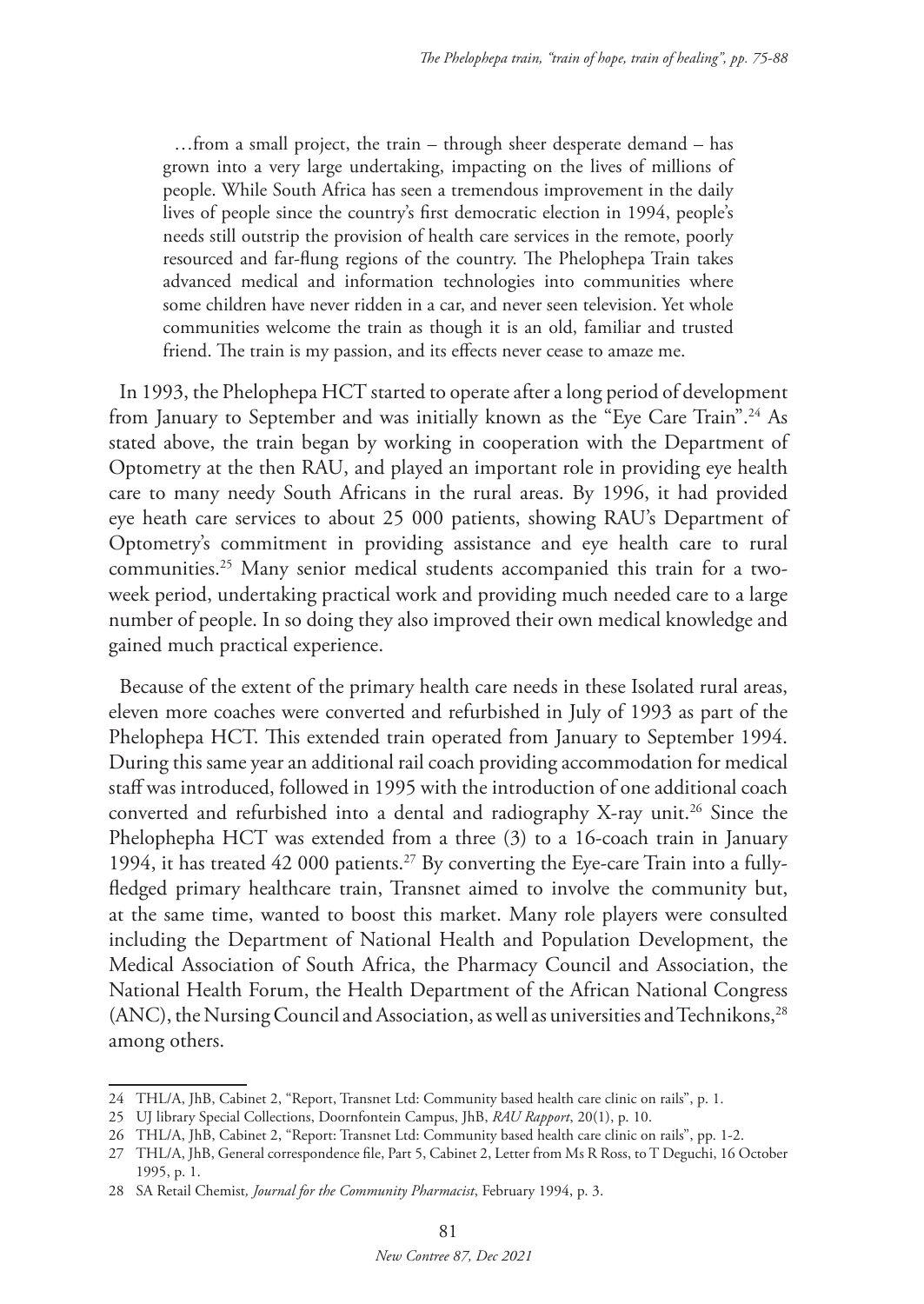…from a small project, the train – through sheer desperate demand – has grown into a very large undertaking, impacting on the lives of millions of people. While South Africa has seen a tremendous improvement in the daily lives of people since the country's first democratic election in 1994, people's needs still outstrip the provision of health care services in the remote, poorly resourced and far-flung regions of the country. The Phelophepa Train takes advanced medical and information technologies into communities where some children have never ridden in a car, and never seen television. Yet whole communities welcome the train as though it is an old, familiar and trusted friend. The train is my passion, and its effects never cease to amaze me.

In 1993, the Phelophepa HCT started to operate after a long period of development from January to September and was initially known as the "Eye Care Train".24 As stated above, the train began by working in cooperation with the Department of Optometry at the then RAU, and played an important role in providing eye health care to many needy South Africans in the rural areas. By 1996, it had provided eye heath care services to about 25 000 patients, showing RAU's Department of Optometry's commitment in providing assistance and eye health care to rural communities.25 Many senior medical students accompanied this train for a twoweek period, undertaking practical work and providing much needed care to a large number of people. In so doing they also improved their own medical knowledge and gained much practical experience.

Because of the extent of the primary health care needs in these Isolated rural areas, eleven more coaches were converted and refurbished in July of 1993 as part of the Phelophepa HCT. This extended train operated from January to September 1994. During this same year an additional rail coach providing accommodation for medical staff was introduced, followed in 1995 with the introduction of one additional coach converted and refurbished into a dental and radiography X-ray unit.<sup>26</sup> Since the Phelophepha HCT was extended from a three (3) to a 16-coach train in January 1994, it has treated  $42\,000$  patients.<sup>27</sup> By converting the Eye-care Train into a fullyfledged primary healthcare train, Transnet aimed to involve the community but, at the same time, wanted to boost this market. Many role players were consulted including the Department of National Health and Population Development, the Medical Association of South Africa, the Pharmacy Council and Association, the National Health Forum, the Health Department of the African National Congress (ANC), the Nursing Council and Association, as well as universities and Technikons,<sup>28</sup> among others.

<sup>24</sup> THL/A, JhB, Cabinet 2, "Report, Transnet Ltd: Community based health care clinic on rails", p. 1.

<sup>25</sup> UJ library Special Collections, Doornfontein Campus, JhB, *RAU Rapport*, 20(1), p. 10.

<sup>26</sup> THL/A, JhB, Cabinet 2, "Report: Transnet Ltd: Community based health care clinic on rails", pp. 1-2.

<sup>27</sup> THL/A, JhB, General correspondence file, Part 5, Cabinet 2, Letter from Ms R Ross, to T Deguchi, 16 October 1995, p. 1.

<sup>28</sup> SA Retail Chemist*, Journal for the Community Pharmacist*, February 1994, p. 3.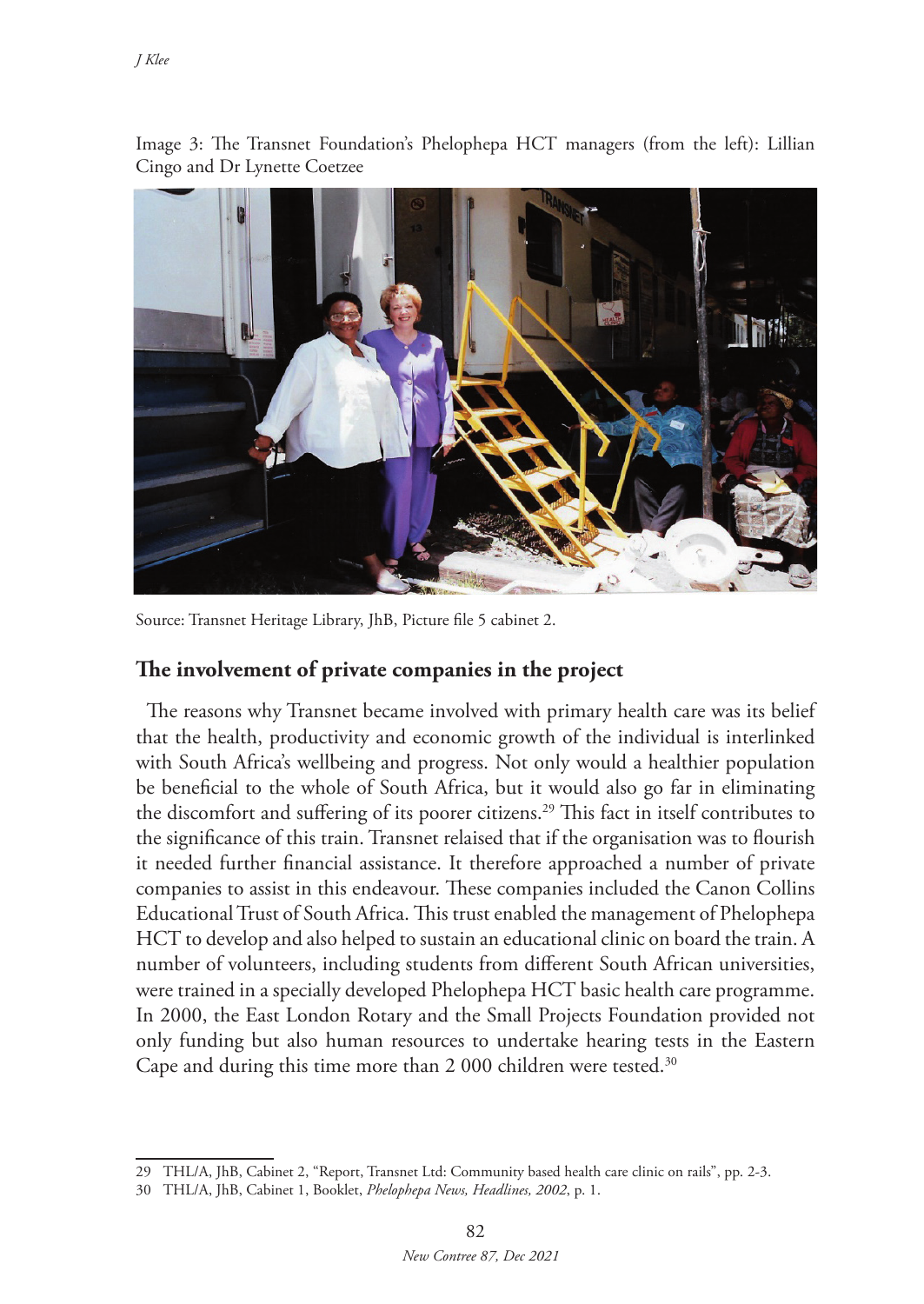

Image 3: The Transnet Foundation's Phelophepa HCT managers (from the left): Lillian Cingo and Dr Lynette Coetzee

Source: Transnet Heritage Library, JhB, Picture file 5 cabinet 2.

#### **The involvement of private companies in the project**

The reasons why Transnet became involved with primary health care was its belief that the health, productivity and economic growth of the individual is interlinked with South Africa's wellbeing and progress. Not only would a healthier population be beneficial to the whole of South Africa, but it would also go far in eliminating the discomfort and suffering of its poorer citizens.29 This fact in itself contributes to the significance of this train. Transnet relaised that if the organisation was to flourish it needed further financial assistance. It therefore approached a number of private companies to assist in this endeavour. These companies included the Canon Collins Educational Trust of South Africa. This trust enabled the management of Phelophepa HCT to develop and also helped to sustain an educational clinic on board the train. A number of volunteers, including students from different South African universities, were trained in a specially developed Phelophepa HCT basic health care programme. In 2000, the East London Rotary and the Small Projects Foundation provided not only funding but also human resources to undertake hearing tests in the Eastern Cape and during this time more than 2 000 children were tested.<sup>30</sup>

<sup>29</sup> THL/A, JhB, Cabinet 2, "Report, Transnet Ltd: Community based health care clinic on rails", pp. 2-3.

<sup>30</sup> THL/A, JhB, Cabinet 1, Booklet, *Phelophepa News, Headlines, 2002*, p. 1.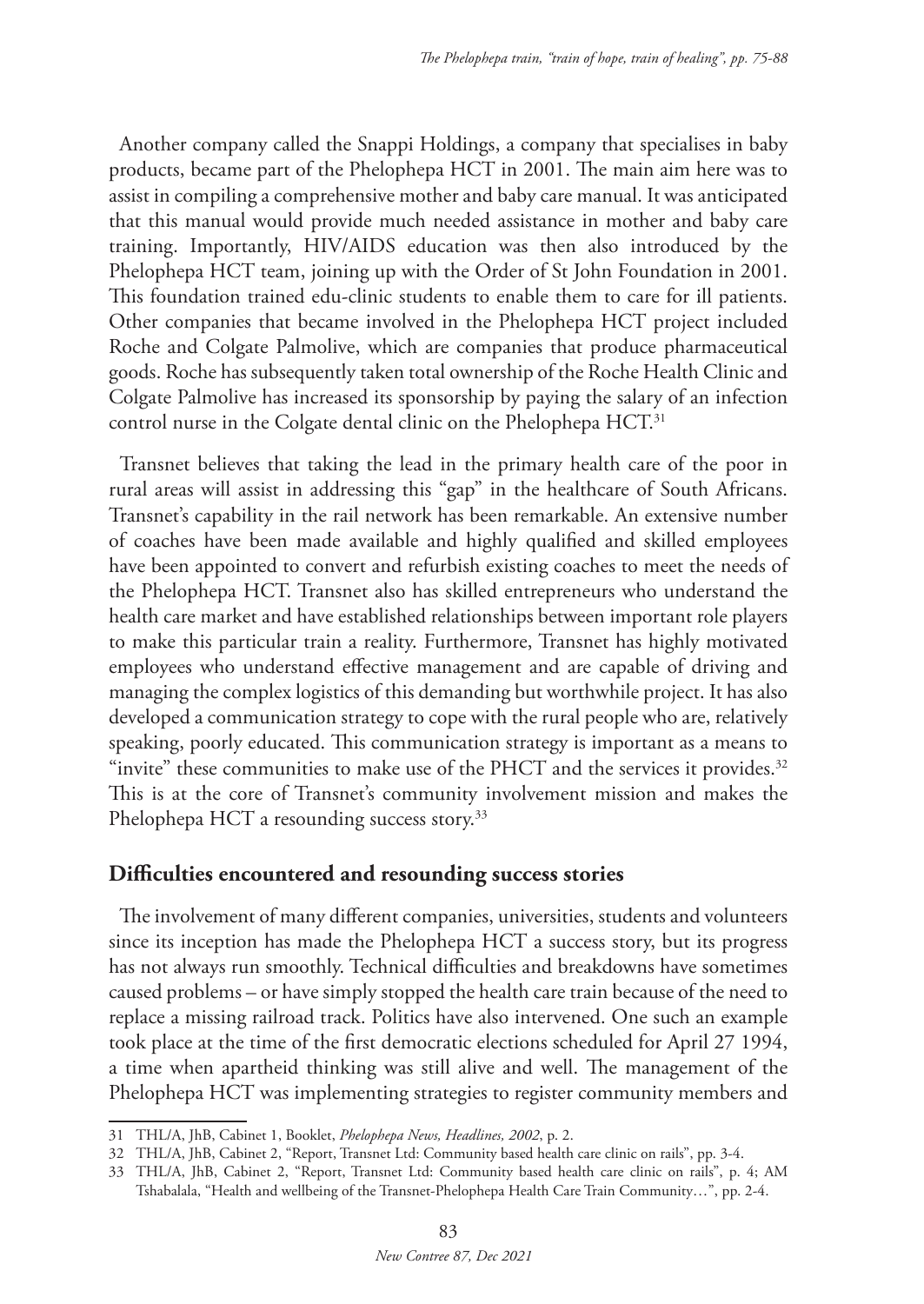Another company called the Snappi Holdings, a company that specialises in baby products, became part of the Phelophepa HCT in 2001. The main aim here was to assist in compiling a comprehensive mother and baby care manual. It was anticipated that this manual would provide much needed assistance in mother and baby care training. Importantly, HIV/AIDS education was then also introduced by the Phelophepa HCT team, joining up with the Order of St John Foundation in 2001. This foundation trained edu-clinic students to enable them to care for ill patients. Other companies that became involved in the Phelophepa HCT project included Roche and Colgate Palmolive, which are companies that produce pharmaceutical goods. Roche has subsequently taken total ownership of the Roche Health Clinic and Colgate Palmolive has increased its sponsorship by paying the salary of an infection control nurse in the Colgate dental clinic on the Phelophepa HCT.<sup>31</sup>

Transnet believes that taking the lead in the primary health care of the poor in rural areas will assist in addressing this "gap" in the healthcare of South Africans. Transnet's capability in the rail network has been remarkable. An extensive number of coaches have been made available and highly qualified and skilled employees have been appointed to convert and refurbish existing coaches to meet the needs of the Phelophepa HCT. Transnet also has skilled entrepreneurs who understand the health care market and have established relationships between important role players to make this particular train a reality. Furthermore, Transnet has highly motivated employees who understand effective management and are capable of driving and managing the complex logistics of this demanding but worthwhile project. It has also developed a communication strategy to cope with the rural people who are, relatively speaking, poorly educated. This communication strategy is important as a means to "invite" these communities to make use of the PHCT and the services it provides.<sup>32</sup> This is at the core of Transnet's community involvement mission and makes the Phelophepa HCT a resounding success story.<sup>33</sup>

#### **Difficulties encountered and resounding success stories**

The involvement of many different companies, universities, students and volunteers since its inception has made the Phelophepa HCT a success story, but its progress has not always run smoothly. Technical difficulties and breakdowns have sometimes caused problems – or have simply stopped the health care train because of the need to replace a missing railroad track. Politics have also intervened. One such an example took place at the time of the first democratic elections scheduled for April 27 1994, a time when apartheid thinking was still alive and well. The management of the Phelophepa HCT was implementing strategies to register community members and

<sup>31</sup> THL/A, JhB, Cabinet 1, Booklet, *Phelophepa News, Headlines, 2002*, p. 2.

<sup>32</sup> THL/A, JhB, Cabinet 2, "Report, Transnet Ltd: Community based health care clinic on rails", pp. 3-4.

<sup>33</sup> THL/A, JhB, Cabinet 2, "Report, Transnet Ltd: Community based health care clinic on rails", p. 4; AM Tshabalala, "Health and wellbeing of the Transnet-Phelophepa Health Care Train Community…", pp. 2-4.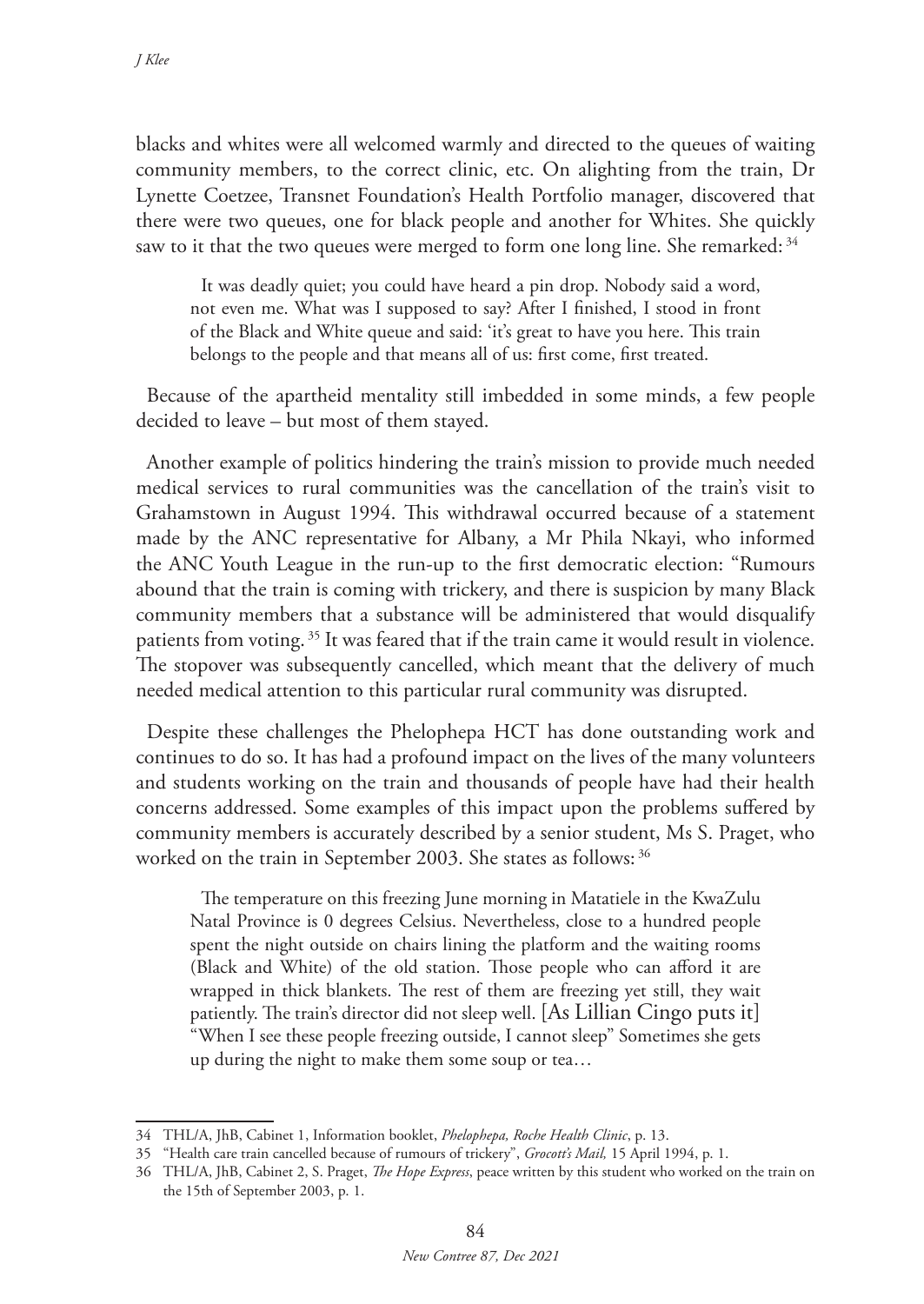blacks and whites were all welcomed warmly and directed to the queues of waiting community members, to the correct clinic, etc. On alighting from the train, Dr Lynette Coetzee, Transnet Foundation's Health Portfolio manager, discovered that there were two queues, one for black people and another for Whites. She quickly saw to it that the two queues were merged to form one long line. She remarked: 34

It was deadly quiet; you could have heard a pin drop. Nobody said a word, not even me. What was I supposed to say? After I finished, I stood in front of the Black and White queue and said: 'it's great to have you here. This train belongs to the people and that means all of us: first come, first treated.

Because of the apartheid mentality still imbedded in some minds, a few people decided to leave – but most of them stayed.

Another example of politics hindering the train's mission to provide much needed medical services to rural communities was the cancellation of the train's visit to Grahamstown in August 1994. This withdrawal occurred because of a statement made by the ANC representative for Albany, a Mr Phila Nkayi, who informed the ANC Youth League in the run-up to the first democratic election: "Rumours abound that the train is coming with trickery, and there is suspicion by many Black community members that a substance will be administered that would disqualify patients from voting. 35 It was feared that if the train came it would result in violence. The stopover was subsequently cancelled, which meant that the delivery of much needed medical attention to this particular rural community was disrupted.

Despite these challenges the Phelophepa HCT has done outstanding work and continues to do so. It has had a profound impact on the lives of the many volunteers and students working on the train and thousands of people have had their health concerns addressed. Some examples of this impact upon the problems suffered by community members is accurately described by a senior student, Ms S. Praget, who worked on the train in September 2003. She states as follows: <sup>36</sup>

The temperature on this freezing June morning in Matatiele in the KwaZulu Natal Province is 0 degrees Celsius. Nevertheless, close to a hundred people spent the night outside on chairs lining the platform and the waiting rooms (Black and White) of the old station. Those people who can afford it are wrapped in thick blankets. The rest of them are freezing yet still, they wait patiently. The train's director did not sleep well. [As Lillian Cingo puts it] "When I see these people freezing outside, I cannot sleep" Sometimes she gets up during the night to make them some soup or tea…

<sup>34</sup> THL/A, JhB, Cabinet 1, Information booklet, *Phelophepa, Roche Health Clinic*, p. 13.

<sup>35</sup> "Health care train cancelled because of rumours of trickery", *Grocott's Mail,* 15 April 1994, p. 1.

<sup>36</sup> THL/A, JhB, Cabinet 2, S. Praget, *The Hope Express*, peace written by this student who worked on the train on the 15th of September 2003, p. 1.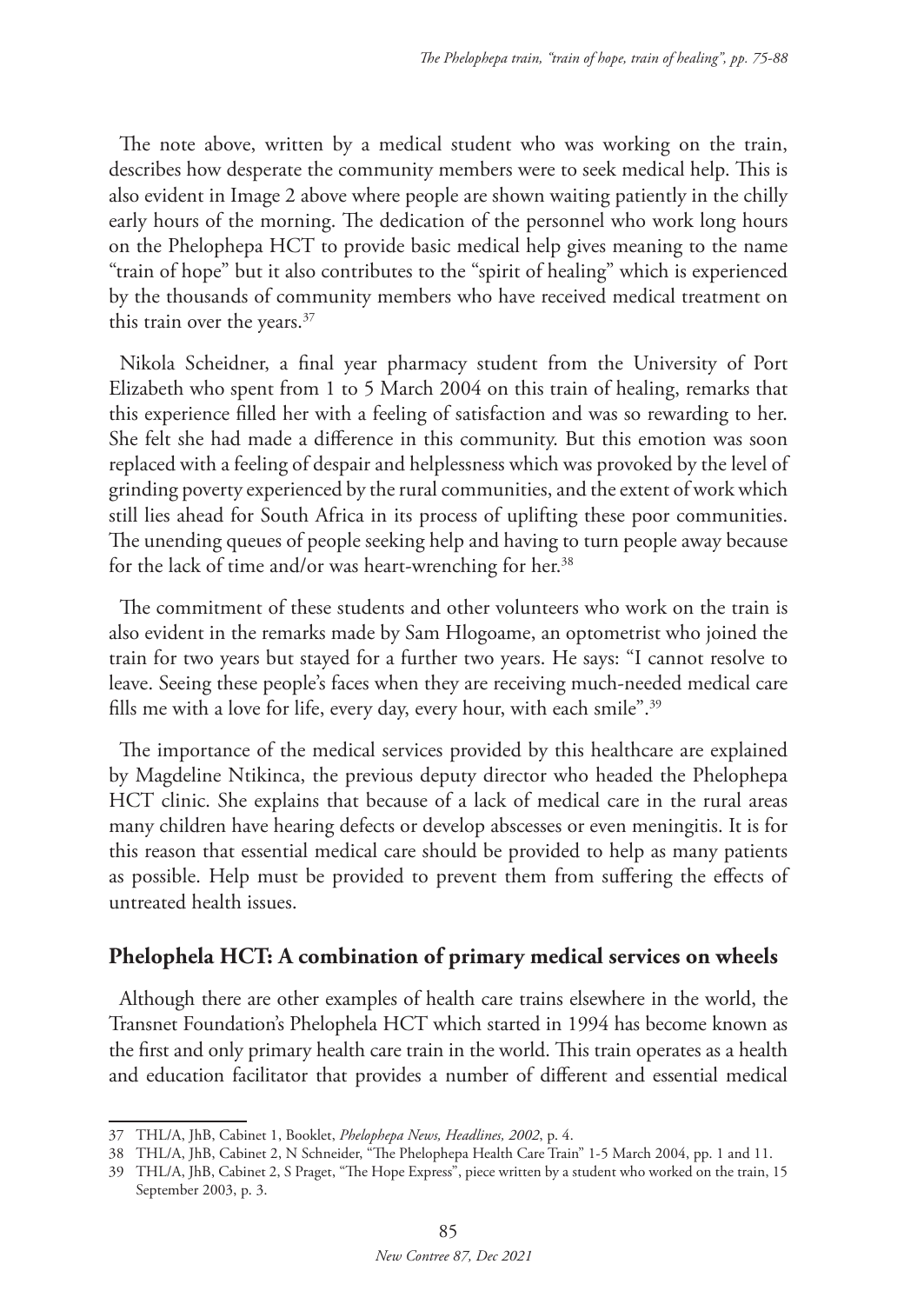The note above, written by a medical student who was working on the train, describes how desperate the community members were to seek medical help. This is also evident in Image 2 above where people are shown waiting patiently in the chilly early hours of the morning. The dedication of the personnel who work long hours on the Phelophepa HCT to provide basic medical help gives meaning to the name "train of hope" but it also contributes to the "spirit of healing" which is experienced by the thousands of community members who have received medical treatment on this train over the years.<sup>37</sup>

Nikola Scheidner, a final year pharmacy student from the University of Port Elizabeth who spent from 1 to 5 March 2004 on this train of healing, remarks that this experience filled her with a feeling of satisfaction and was so rewarding to her. She felt she had made a difference in this community. But this emotion was soon replaced with a feeling of despair and helplessness which was provoked by the level of grinding poverty experienced by the rural communities, and the extent of work which still lies ahead for South Africa in its process of uplifting these poor communities. The unending queues of people seeking help and having to turn people away because for the lack of time and/or was heart-wrenching for her.<sup>38</sup>

The commitment of these students and other volunteers who work on the train is also evident in the remarks made by Sam Hlogoame, an optometrist who joined the train for two years but stayed for a further two years. He says: "I cannot resolve to leave. Seeing these people's faces when they are receiving much-needed medical care fills me with a love for life, every day, every hour, with each smile".<sup>39</sup>

The importance of the medical services provided by this healthcare are explained by Magdeline Ntikinca, the previous deputy director who headed the Phelophepa HCT clinic. She explains that because of a lack of medical care in the rural areas many children have hearing defects or develop abscesses or even meningitis. It is for this reason that essential medical care should be provided to help as many patients as possible. Help must be provided to prevent them from suffering the effects of untreated health issues.

#### **Phelophela HCT: A combination of primary medical services on wheels**

Although there are other examples of health care trains elsewhere in the world, the Transnet Foundation's Phelophela HCT which started in 1994 has become known as the first and only primary health care train in the world. This train operates as a health and education facilitator that provides a number of different and essential medical

<sup>37</sup> THL/A, JhB, Cabinet 1, Booklet, *Phelophepa News, Headlines, 2002*, p. 4.

<sup>38</sup> THL/A, JhB, Cabinet 2, N Schneider, "The Phelophepa Health Care Train" 1-5 March 2004, pp. 1 and 11.

<sup>39</sup> THL/A, JhB, Cabinet 2, S Praget, "The Hope Express", piece written by a student who worked on the train, 15 September 2003, p. 3.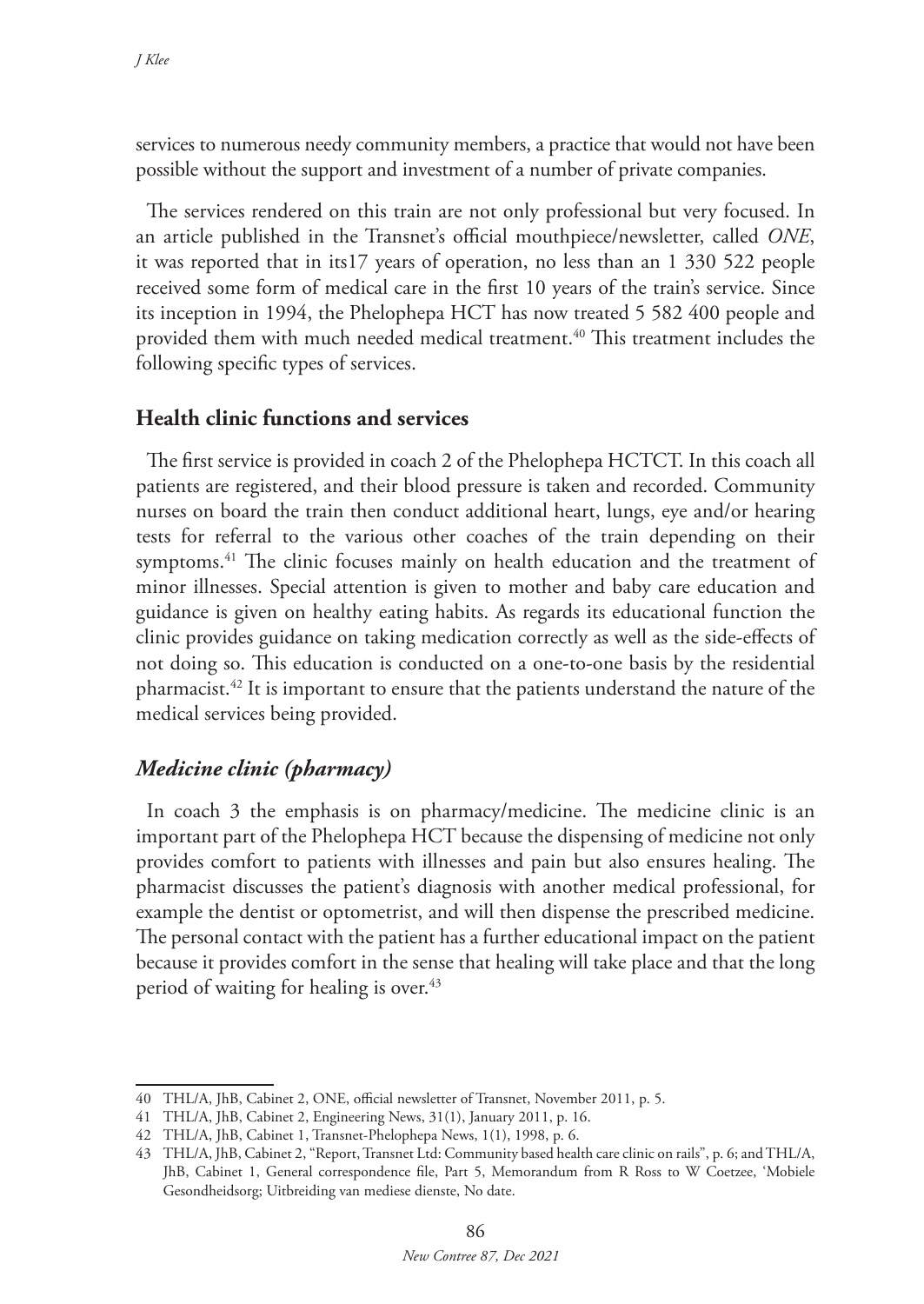services to numerous needy community members, a practice that would not have been possible without the support and investment of a number of private companies.

The services rendered on this train are not only professional but very focused. In an article published in the Transnet's official mouthpiece/newsletter, called *ONE*, it was reported that in its17 years of operation, no less than an 1 330 522 people received some form of medical care in the first 10 years of the train's service. Since its inception in 1994, the Phelophepa HCT has now treated 5 582 400 people and provided them with much needed medical treatment.<sup>40</sup> This treatment includes the following specific types of services.

### **Health clinic functions and services**

The first service is provided in coach 2 of the Phelophepa HCTCT. In this coach all patients are registered, and their blood pressure is taken and recorded. Community nurses on board the train then conduct additional heart, lungs, eye and/or hearing tests for referral to the various other coaches of the train depending on their symptoms.<sup>41</sup> The clinic focuses mainly on health education and the treatment of minor illnesses. Special attention is given to mother and baby care education and guidance is given on healthy eating habits. As regards its educational function the clinic provides guidance on taking medication correctly as well as the side-effects of not doing so. This education is conducted on a one-to-one basis by the residential pharmacist.42 It is important to ensure that the patients understand the nature of the medical services being provided.

# *Medicine clinic (pharmacy)*

In coach 3 the emphasis is on pharmacy/medicine. The medicine clinic is an important part of the Phelophepa HCT because the dispensing of medicine not only provides comfort to patients with illnesses and pain but also ensures healing. The pharmacist discusses the patient's diagnosis with another medical professional, for example the dentist or optometrist, and will then dispense the prescribed medicine. The personal contact with the patient has a further educational impact on the patient because it provides comfort in the sense that healing will take place and that the long period of waiting for healing is over.<sup>43</sup>

<sup>40</sup> THL/A, JhB, Cabinet 2, ONE, official newsletter of Transnet, November 2011, p. 5.

<sup>41</sup> THL/A, JhB, Cabinet 2, Engineering News, 31(1), January 2011, p. 16.

<sup>42</sup> THL/A, JhB, Cabinet 1, Transnet-Phelophepa News, 1(1), 1998, p. 6.

<sup>43</sup> THL/A, JhB, Cabinet 2, "Report, Transnet Ltd: Community based health care clinic on rails", p. 6; and THL/A, JhB, Cabinet 1, General correspondence file, Part 5, Memorandum from R Ross to W Coetzee, 'Mobiele Gesondheidsorg; Uitbreiding van mediese dienste, No date.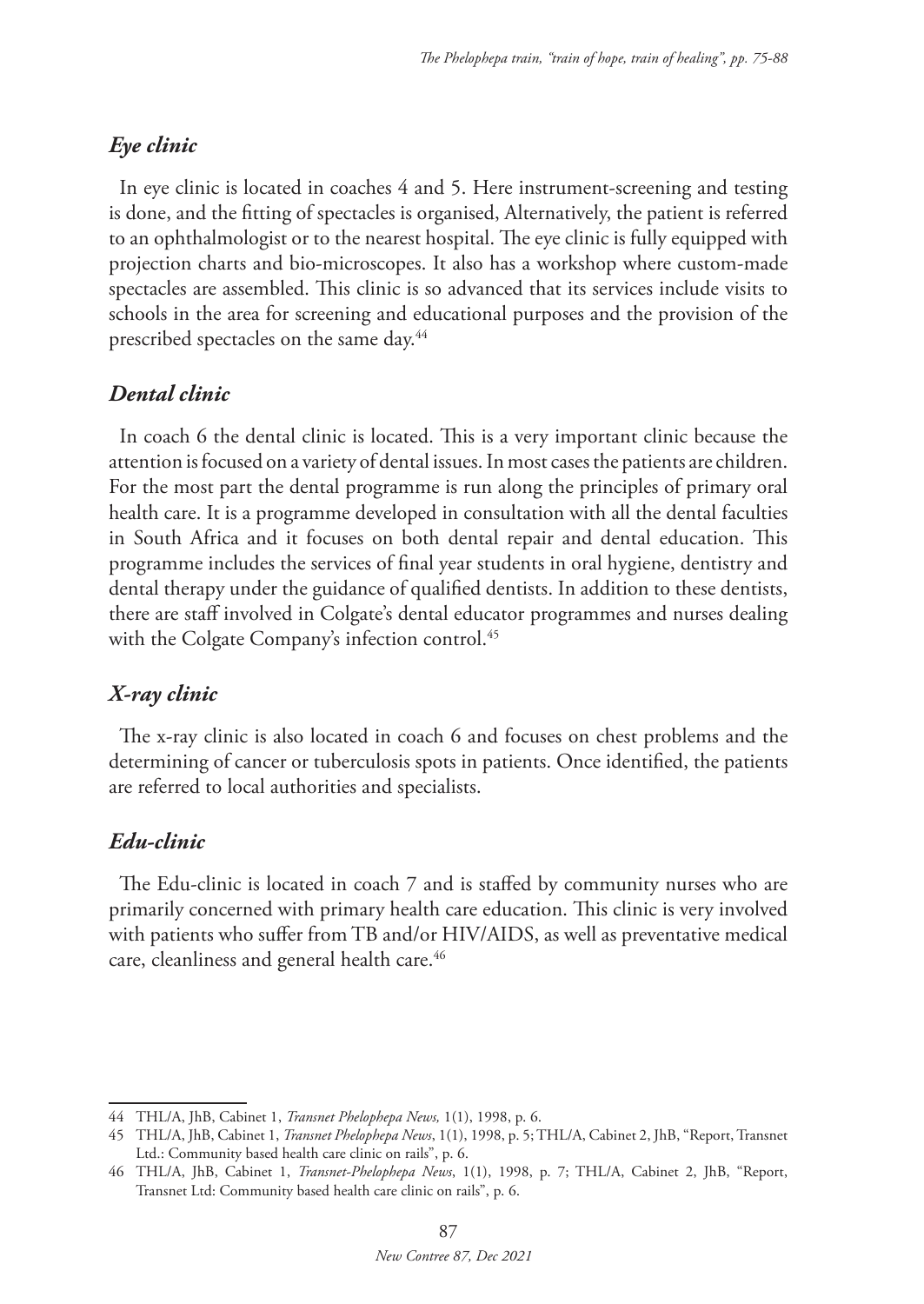# *Eye clinic*

In eye clinic is located in coaches 4 and 5. Here instrument-screening and testing is done, and the fitting of spectacles is organised, Alternatively, the patient is referred to an ophthalmologist or to the nearest hospital. The eye clinic is fully equipped with projection charts and bio-microscopes. It also has a workshop where custom-made spectacles are assembled. This clinic is so advanced that its services include visits to schools in the area for screening and educational purposes and the provision of the prescribed spectacles on the same day.44

# *Dental clinic*

In coach 6 the dental clinic is located. This is a very important clinic because the attention is focused on a variety of dental issues. In most cases the patients are children. For the most part the dental programme is run along the principles of primary oral health care. It is a programme developed in consultation with all the dental faculties in South Africa and it focuses on both dental repair and dental education. This programme includes the services of final year students in oral hygiene, dentistry and dental therapy under the guidance of qualified dentists. In addition to these dentists, there are staff involved in Colgate's dental educator programmes and nurses dealing with the Colgate Company's infection control.<sup>45</sup>

# *X-ray clinic*

The x-ray clinic is also located in coach 6 and focuses on chest problems and the determining of cancer or tuberculosis spots in patients. Once identified, the patients are referred to local authorities and specialists.

### *Edu-clinic*

The Edu-clinic is located in coach 7 and is staffed by community nurses who are primarily concerned with primary health care education. This clinic is very involved with patients who suffer from TB and/or HIV/AIDS, as well as preventative medical care, cleanliness and general health care.<sup>46</sup>

<sup>44</sup> THL/A, JhB, Cabinet 1, *Transnet Phelophepa News,* 1(1), 1998, p. 6.

<sup>45</sup> THL/A, JhB, Cabinet 1, *Transnet Phelophepa News*, 1(1), 1998, p. 5; THL/A, Cabinet 2, JhB, "Report, Transnet Ltd.: Community based health care clinic on rails", p. 6.

<sup>46</sup> THL/A, JhB, Cabinet 1, *Transnet-Phelophepa News*, 1(1), 1998, p. 7; THL/A, Cabinet 2, JhB, "Report, Transnet Ltd: Community based health care clinic on rails", p. 6.